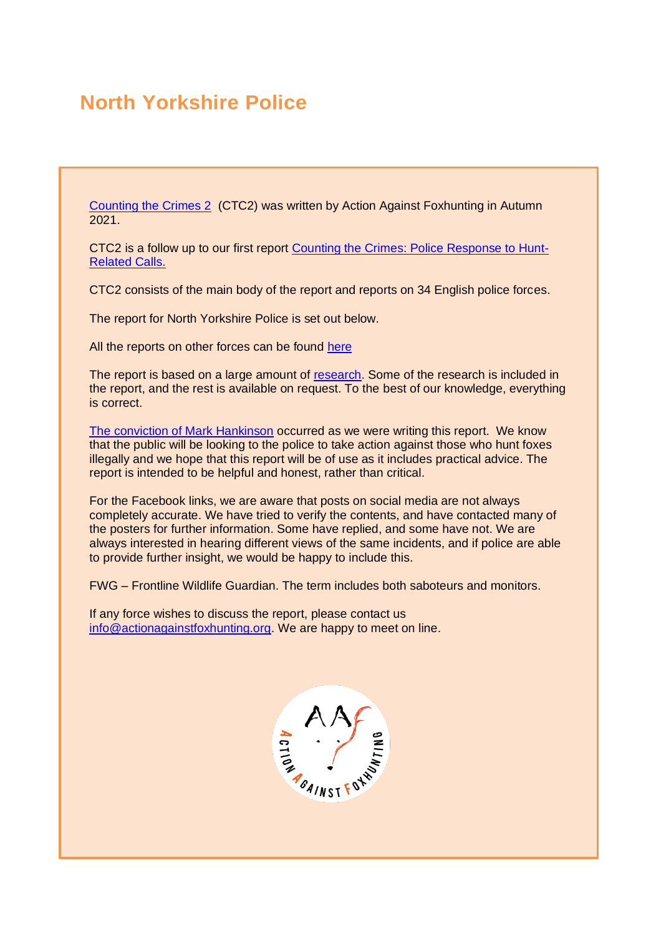# **North Yorkshire Police**

[Counting the Crimes 2](https://www.actionagainstfoxhunting.org/counting-the-crimes2-the-police-response/) (CTC2) was written by Action Against Foxhunting in Autumn 2021.

CTC2 is a follow up to our first report [Counting the Crimes: Police Response to Hunt-](https://www.actionagainstfoxhunting.org/counting-the-crimes/)[Related Calls.](https://www.actionagainstfoxhunting.org/counting-the-crimes/)

CTC2 consists of the main body of the report and reports on 34 English police forces.

The report for North Yorkshire Police is set out below.

All the reports on other forces can be found [here](https://www.actionagainstfoxhunting.org/counting-the-crimes2-the-police-response/)

The report is based on a large amount of [research.](https://www.actionagainstfoxhunting.org/wp-content/uploads/2021/11/A-1411-Research-for-CTC2.pdf) Some of the research is included in the report, and the rest is available on request. To the best of our knowledge, everything is correct.

[The conviction of Mark Hankinson](https://www.league.org.uk/news-and-resources/news/hunting-office-webinars-the-road-to-conviction/) occurred as we were writing this report. We know that the public will be looking to the police to take action against those who hunt foxes illegally and we hope that this report will be of use as it includes practical advice. The report is intended to be helpful and honest, rather than critical.

For the Facebook links, we are aware that posts on social media are not always completely accurate. We have tried to verify the contents, and have contacted many of the posters for further information. Some have replied, and some have not. We are always interested in hearing different views of the same incidents, and if police are able to provide further insight, we would be happy to include this.

FWG – Frontline Wildlife Guardian. The term includes both saboteurs and monitors.

If any force wishes to discuss the report, please contact us [info@actionagainstfoxhunting.org.](mailto:info@actionagainstfoxhunting.org) We are happy to meet on line.

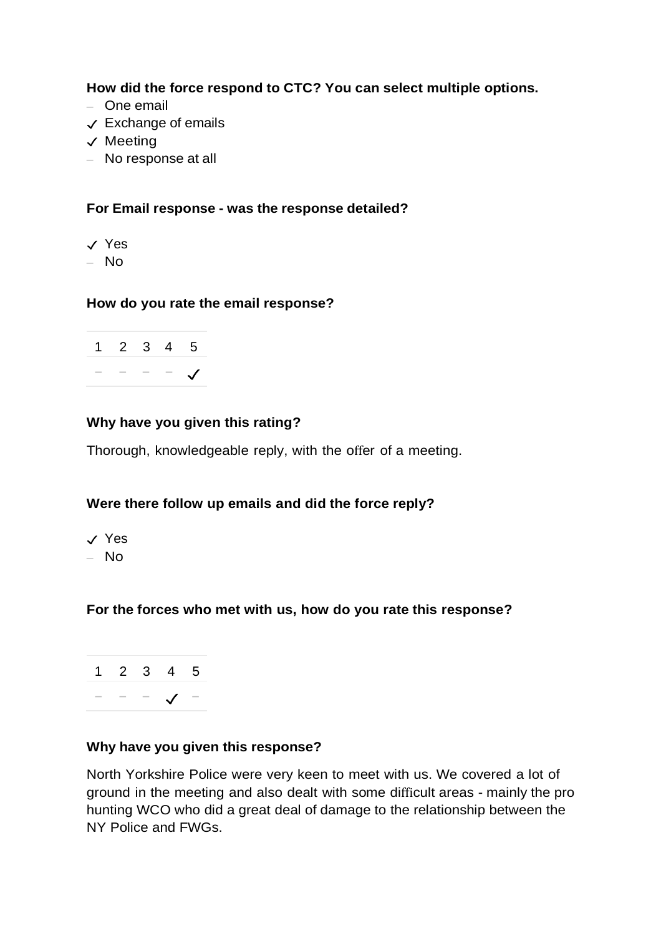**How did the force respond to CTC? You can select multiple options.**

- One email
- ✓ Exchange of emails
- ✓ Meeting
- No response at all

## **For Email response - was the response detailed?**

- ✓ Yes
- No

#### **How do you rate the email response?**

| $1 \t2 \t3 \t4 \t5$ |  |  |
|---------------------|--|--|
|                     |  |  |

## **Why have you given this rating?**

Thorough, knowledgeable reply, with the offer of a meeting.

## **Were there follow up emails and did the force reply?**

✓ Yes – No

## **For the forces who met with us, how do you rate this response?**

1 2 3 4 5 − − − ✓ −

#### **Why have you given this response?**

North Yorkshire Police were very keen to meet with us. We covered a lot of ground in the meeting and also dealt with some difficult areas - mainly the pro hunting WCO who did a great deal of damage to the relationship between the NY Police and FWGs.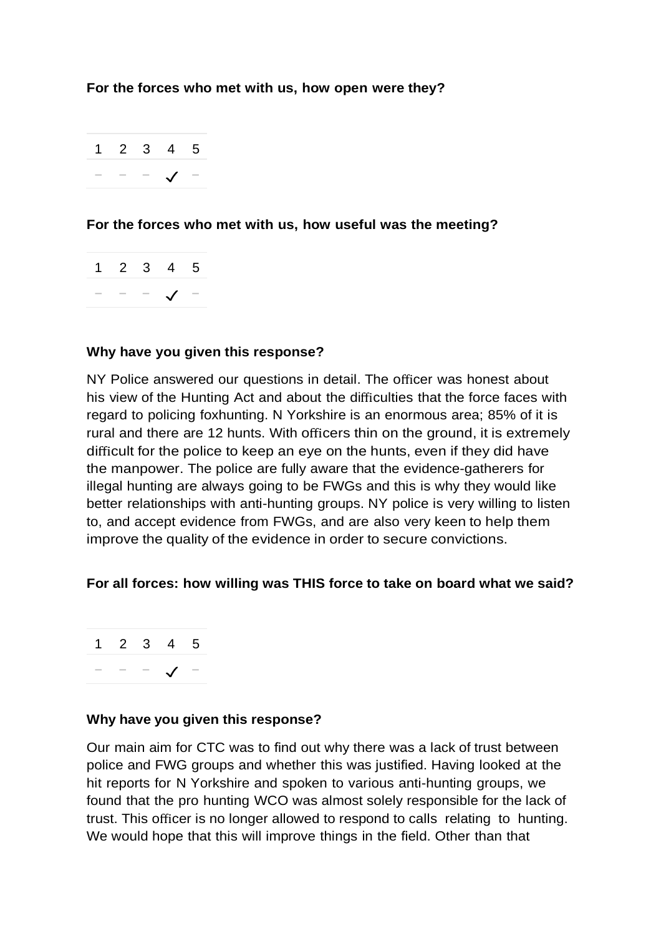## **For the forces who met with us, how open were they?**

1 2 3 4 5 − − − ✓ −

## **For the forces who met with us, how useful was the meeting?**



#### **Why have you given this response?**

NY Police answered our questions in detail. The officer was honest about his view of the Hunting Act and about the difficulties that the force faces with regard to policing foxhunting. N Yorkshire is an enormous area; 85% of it is rural and there are 12 hunts. With officers thin on the ground, it is extremely difficult for the police to keep an eye on the hunts, even if they did have the manpower. The police are fully aware that the evidence-gatherers for illegal hunting are always going to be FWGs and this is why they would like better relationships with anti-hunting groups. NY police is very willing to listen to, and accept evidence from FWGs, and are also very keen to help them improve the quality of the evidence in order to secure convictions.

#### **For all forces: how willing was THIS force to take on board what we said?**

1 2 3 4 5 − − − ✓ −

#### **Why have you given this response?**

Our main aim for CTC was to find out why there was a lack of trust between police and FWG groups and whether this was justified. Having looked at the hit reports for N Yorkshire and spoken to various anti-hunting groups, we found that the pro hunting WCO was almost solely responsible for the lack of trust. This officer is no longer allowed to respond to calls relating to hunting. We would hope that this will improve things in the field. Other than that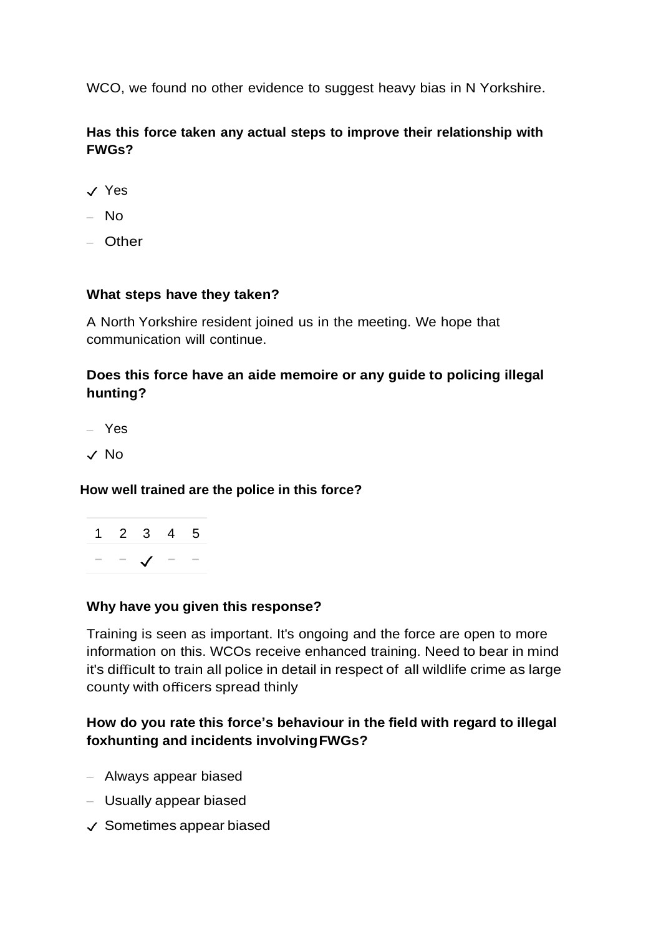WCO, we found no other evidence to suggest heavy bias in N Yorkshire.

## **Has this force taken any actual steps to improve their relationship with FWGs?**

- ✓ Yes
- $-$  No
- Other

## **What steps have they taken?**

A North Yorkshire resident joined us in the meeting. We hope that communication will continue.

## **Does this force have an aide memoire or any guide to policing illegal hunting?**

– Yes

✓ No

#### **How well trained are the police in this force?**

|  | 1 2 3 4 5 |  |
|--|-----------|--|
|  |           |  |

#### **Why have you given this response?**

Training is seen as important. It's ongoing and the force are open to more information on this. WCOs receive enhanced training. Need to bear in mind it's difficult to train all police in detail in respect of all wildlife crime as large county with officers spread thinly

## **How do you rate this force's behaviour in the field with regard to illegal foxhunting and incidents involvingFWGs?**

- Always appear biased
- Usually appear biased
- ✓ Sometimes appear biased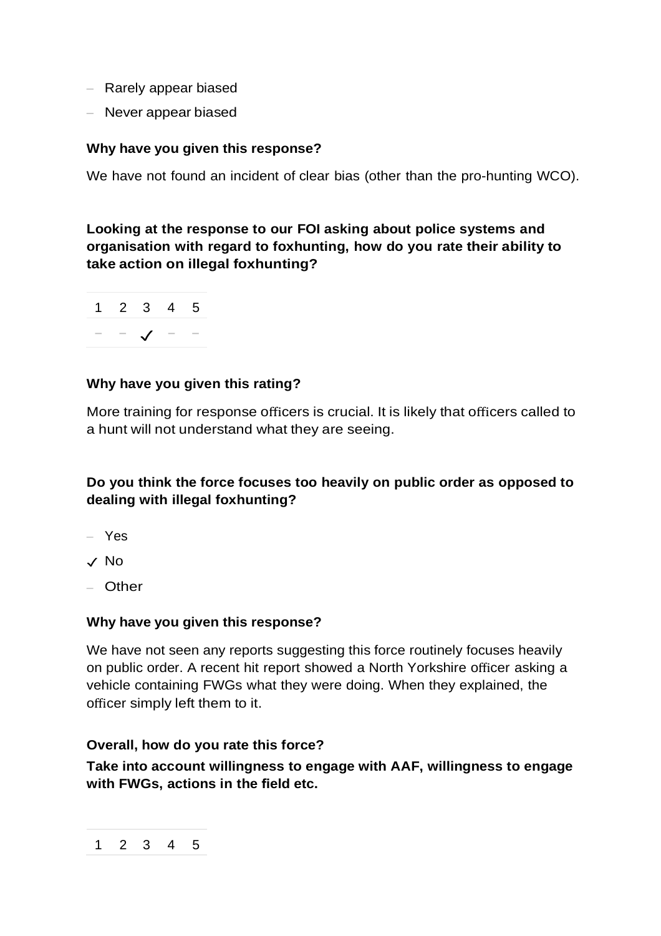- Rarely appear biased
- Never appear biased

## **Why have you given this response?**

We have not found an incident of clear bias (other than the pro-hunting WCO).

**Looking at the response to our FOI asking about police systems and organisation with regard to foxhunting, how do you rate their ability to take action on illegal foxhunting?**



## **Why have you given this rating?**

More training for response officers is crucial. It is likely that officers called to a hunt will not understand what they are seeing.

## **Do you think the force focuses too heavily on public order as opposed to dealing with illegal foxhunting?**

- Yes
- ✓ No
- Other

#### **Why have you given this response?**

We have not seen any reports suggesting this force routinely focuses heavily on public order. A recent hit report showed a North Yorkshire officer asking a vehicle containing FWGs what they were doing. When they explained, the officer simply left them to it.

#### **Overall, how do you rate this force?**

**Take into account willingness to engage with AAF, willingness to engage with FWGs, actions in the field etc.**

$$
1\quad 2\quad 3\quad 4\quad 5
$$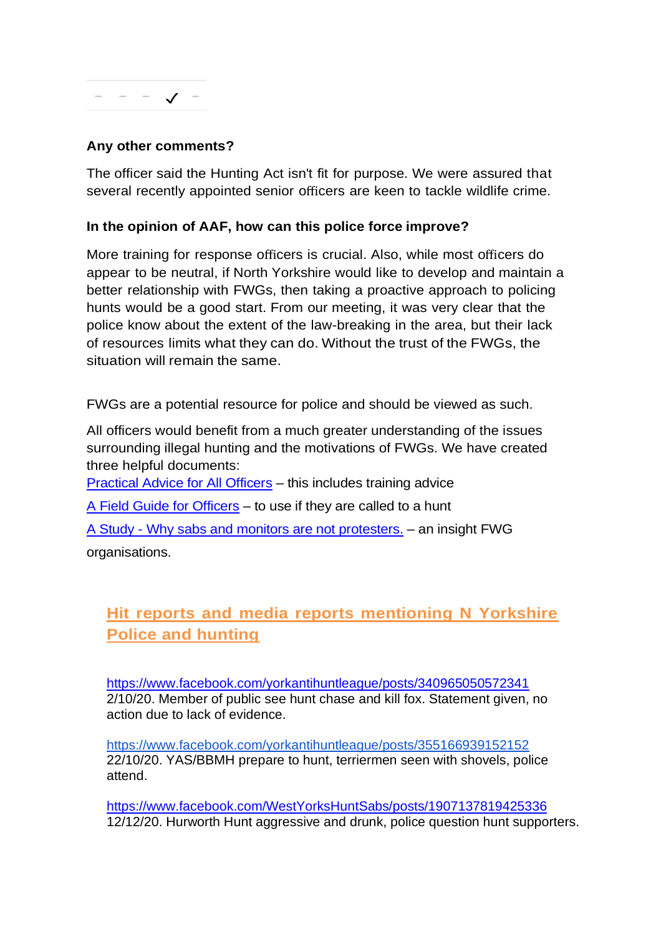

## **Any other comments?**

The officer said the Hunting Act isn't fit for purpose. We were assured that several recently appointed senior officers are keen to tackle wildlife crime.

### **In the opinion of AAF, how can this police force improve?**

More training for response officers is crucial. Also, while most officers do appear to be neutral, if North Yorkshire would like to develop and maintain a better relationship with FWGs, then taking a proactive approach to policing hunts would be a good start. From our meeting, it was very clear that the police know about the extent of the law-breaking in the area, but their lack of resources limits what they can do. Without the trust of the FWGs, the situation will remain the same.

FWGs are a potential resource for police and should be viewed as such.

All officers would benefit from a much greater understanding of the issues surrounding illegal hunting and the motivations of FWGs. We have created three helpful documents:

[Practical Advice for All Officers](https://www.actionagainstfoxhunting.org/wp-content/uploads/2021/11/B-1411-Practical-Advice-for-all-Police-Forces.pdf) – this includes training advice

[A Field Guide for Officers](https://www.actionagainstfoxhunting.org/wp-content/uploads/2021/11/A-1411-FIELD-GUIDE-ILLEGAL-FOXHUNTING.pdf) – to use if they are called to a hunt

A Study - [Why sabs and monitors are not protesters.](https://www.actionagainstfoxhunting.org/wp-content/uploads/2021/11/A-1411-Why-sabs-and-monitors-arent-protesters.pdf) – an insight FWG organisations.

## **Hit reports and media reports mentioning N Yorkshire Police and hunting**

<https://www.facebook.com/yorkantihuntleague/posts/340965050572341> 2/10/20. Member of public see hunt chase and kill fox. Statement given, no action due to lack of evidence.

<https://www.facebook.com/yorkantihuntleague/posts/355166939152152> 22/10/20. YAS/BBMH prepare to hunt, terriermen seen with shovels, police attend.

<https://www.facebook.com/WestYorksHuntSabs/posts/1907137819425336> 12/12/20. Hurworth Hunt aggressive and drunk, police question hunt supporters.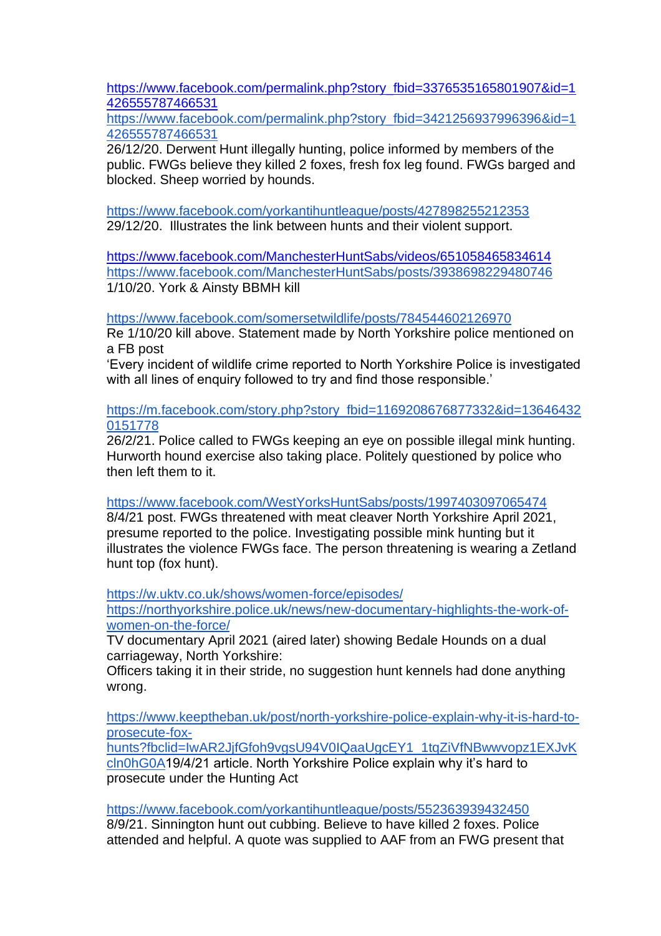[https://www.facebook.com/permalink.php?story\\_fbid=3376535165801907&id=1](https://www.facebook.com/permalink.php?story_fbid=3376535165801907&id=1426555787466531) [426555787466531](https://www.facebook.com/permalink.php?story_fbid=3376535165801907&id=1426555787466531)

[https://www.facebook.com/permalink.php?story\\_fbid=3421256937996396&id=1](https://www.facebook.com/permalink.php?story_fbid=3421256937996396&id=1426555787466531) [426555787466531](https://www.facebook.com/permalink.php?story_fbid=3421256937996396&id=1426555787466531)

26/12/20. Derwent Hunt illegally hunting, police informed by members of the public. FWGs believe they killed 2 foxes, fresh fox leg found. FWGs barged and blocked. Sheep worried by hounds.

<https://www.facebook.com/yorkantihuntleague/posts/427898255212353> 29/12/20. Illustrates the link between hunts and their violent support.

<https://www.facebook.com/ManchesterHuntSabs/videos/651058465834614> <https://www.facebook.com/ManchesterHuntSabs/posts/3938698229480746> 1/10/20. York & Ainsty BBMH kill

<https://www.facebook.com/somersetwildlife/posts/784544602126970>

Re 1/10/20 kill above. Statement made by North Yorkshire police mentioned on a FB post

'Every incident of wildlife crime reported to North Yorkshire Police is investigated with all lines of enquiry followed to try and find those responsible.'

[https://m.facebook.com/story.php?story\\_fbid=1169208676877332&id=13646432](https://m.facebook.com/story.php?story_fbid=1169208676877332&id=136464320151778) [0151778](https://m.facebook.com/story.php?story_fbid=1169208676877332&id=136464320151778)

26/2/21. Police called to FWGs keeping an eye on possible illegal mink hunting. Hurworth hound exercise also taking place. Politely questioned by police who then left them to it.

<https://www.facebook.com/WestYorksHuntSabs/posts/1997403097065474>

8/4/21 post. FWGs threatened with meat cleaver North Yorkshire April 2021, presume reported to the police. Investigating possible mink hunting but it illustrates the violence FWGs face. The person threatening is wearing a Zetland hunt top (fox hunt).

<https://w.uktv.co.uk/shows/women-force/episodes/>

[https://northyorkshire.police.uk/news/new-documentary-highlights-the-work-of](https://northyorkshire.police.uk/news/new-documentary-highlights-the-work-of-women-on-the-force/)[women-on-the-force/](https://northyorkshire.police.uk/news/new-documentary-highlights-the-work-of-women-on-the-force/)

TV documentary April 2021 (aired later) showing Bedale Hounds on a dual carriageway, North Yorkshire:

Officers taking it in their stride, no suggestion hunt kennels had done anything wrong.

[https://www.keeptheban.uk/post/north-yorkshire-police-explain-why-it-is-hard-to](https://www.keeptheban.uk/post/north-yorkshire-police-explain-why-it-is-hard-to-prosecute-fox-hunts?fbclid=IwAR2JjfGfoh9vgsU94V0IQaaUgcEY1_1tqZiVfNBwwvopz1EXJvKcln0hG0A)[prosecute-fox-](https://www.keeptheban.uk/post/north-yorkshire-police-explain-why-it-is-hard-to-prosecute-fox-hunts?fbclid=IwAR2JjfGfoh9vgsU94V0IQaaUgcEY1_1tqZiVfNBwwvopz1EXJvKcln0hG0A)

[hunts?fbclid=IwAR2JjfGfoh9vgsU94V0IQaaUgcEY1\\_1tqZiVfNBwwvopz1EXJvK](https://www.keeptheban.uk/post/north-yorkshire-police-explain-why-it-is-hard-to-prosecute-fox-hunts?fbclid=IwAR2JjfGfoh9vgsU94V0IQaaUgcEY1_1tqZiVfNBwwvopz1EXJvKcln0hG0A) [cln0hG0A1](https://www.keeptheban.uk/post/north-yorkshire-police-explain-why-it-is-hard-to-prosecute-fox-hunts?fbclid=IwAR2JjfGfoh9vgsU94V0IQaaUgcEY1_1tqZiVfNBwwvopz1EXJvKcln0hG0A)9/4/21 article. North Yorkshire Police explain why it's hard to prosecute under the Hunting Act

<https://www.facebook.com/yorkantihuntleague/posts/552363939432450> 8/9/21. Sinnington hunt out cubbing. Believe to have killed 2 foxes. Police attended and helpful. A quote was supplied to AAF from an FWG present that